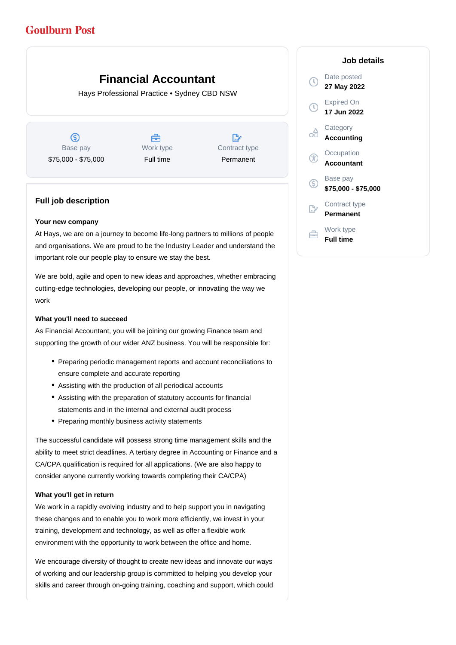# **Goulburn Post**

# **Financial Accountant**

Hays Professional Practice • Sydney CBD NSW

ග Base pay \$75,000 - \$75,000

Å Work type Full time

 $\mathbb{R}^2$ Contract type Permanent

## **Full job description**

#### **Your new company**

At Hays, we are on a journey to become life-long partners to millions of people and organisations. We are proud to be the Industry Leader and understand the important role our people play to ensure we stay the best.

We are bold, agile and open to new ideas and approaches, whether embracing cutting-edge technologies, developing our people, or innovating the way we work

### **What you'll need to succeed**

As Financial Accountant, you will be joining our growing Finance team and supporting the growth of our wider ANZ business. You will be responsible for:

- Preparing periodic management reports and account reconciliations to ensure complete and accurate reporting
- Assisting with the production of all periodical accounts
- Assisting with the preparation of statutory accounts for financial statements and in the internal and external audit process
- Preparing monthly business activity statements

The successful candidate will possess strong time management skills and the ability to meet strict deadlines. A tertiary degree in Accounting or Finance and a CA/CPA qualification is required for all applications. (We are also happy to consider anyone currently working towards completing their CA/CPA)

#### **What you'll get in return**

We work in a rapidly evolving industry and to help support you in navigating these changes and to enable you to work more efficiently, we invest in your training, development and technology, as well as offer a flexible work environment with the opportunity to work between the office and home.

We encourage diversity of thought to create new ideas and innovate our ways of working and our leadership group is committed to helping you develop your skills and career through on-going training, coaching and support, which could

### **Job details**